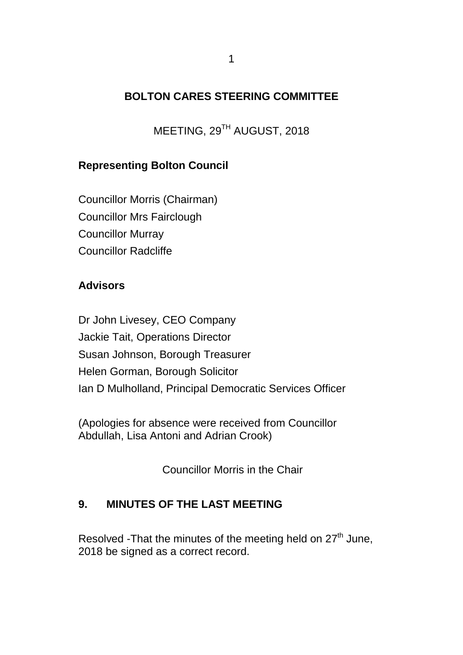### **BOLTON CARES STEERING COMMITTEE**

MEETING, 29TH AUGUST, 2018

### **Representing Bolton Council**

Councillor Morris (Chairman) Councillor Mrs Fairclough Councillor Murray Councillor Radcliffe

#### **Advisors**

Dr John Livesey, CEO Company Jackie Tait, Operations Director Susan Johnson, Borough Treasurer Helen Gorman, Borough Solicitor Ian D Mulholland, Principal Democratic Services Officer

(Apologies for absence were received from Councillor Abdullah, Lisa Antoni and Adrian Crook)

Councillor Morris in the Chair

#### **9. MINUTES OF THE LAST MEETING**

Resolved -That the minutes of the meeting held on  $27<sup>th</sup>$  June, 2018 be signed as a correct record.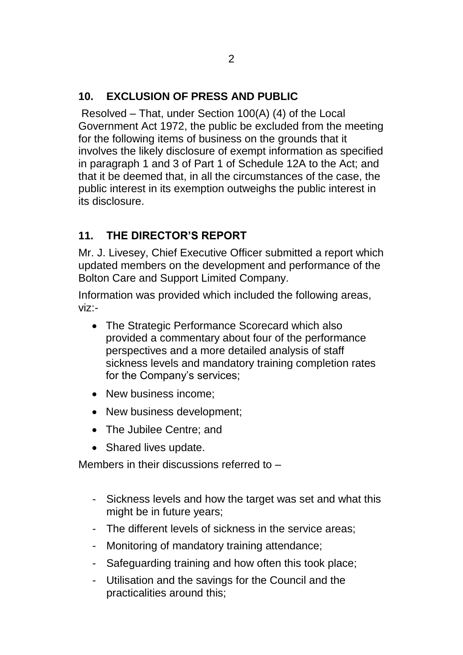# **10. EXCLUSION OF PRESS AND PUBLIC**

Resolved – That, under Section 100(A) (4) of the Local Government Act 1972, the public be excluded from the meeting for the following items of business on the grounds that it involves the likely disclosure of exempt information as specified in paragraph 1 and 3 of Part 1 of Schedule 12A to the Act; and that it be deemed that, in all the circumstances of the case, the public interest in its exemption outweighs the public interest in its disclosure.

## **11. THE DIRECTOR'S REPORT**

Mr. J. Livesey, Chief Executive Officer submitted a report which updated members on the development and performance of the Bolton Care and Support Limited Company.

Information was provided which included the following areas, viz:-

- The Strategic Performance Scorecard which also provided a commentary about four of the performance perspectives and a more detailed analysis of staff sickness levels and mandatory training completion rates for the Company's services;
- New business income:
- New business development;
- The Jubilee Centre: and
- Shared lives update.

Members in their discussions referred to –

- Sickness levels and how the target was set and what this might be in future years;
- The different levels of sickness in the service areas;
- Monitoring of mandatory training attendance;
- Safeguarding training and how often this took place;
- Utilisation and the savings for the Council and the practicalities around this;